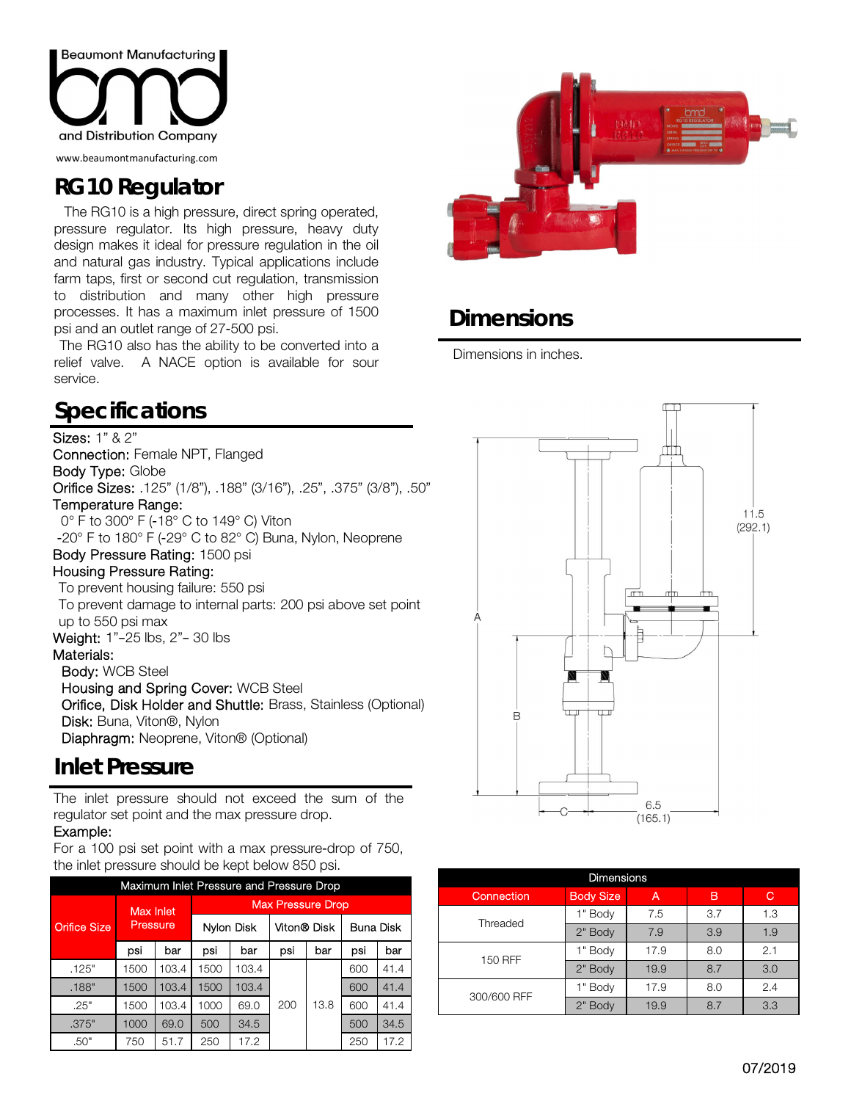

www.beaumontmanufacturing.com

## **RG10 Regulator**

The RG10 is a high pressure, direct spring operated, pressure regulator. Its high pressure, heavy duty design makes it ideal for pressure regulation in the oil and natural gas industry. Typical applications include farm taps, first or second cut regulation, transmission to distribution and many other high pressure processes. It has a maximum inlet pressure of 1500 psi and an outlet range of 27-500 psi.

The RG10 also has the ability to be converted into a relief valve. A NACE option is available for sour service.

## **Specifications**

### Sizes: 1" & 2"

Connection: Female NPT, Flanged Body Type: Globe Orifice Sizes: .125" (1/8"), .188" (3/16"), .25", .375" (3/8"), .50" Temperature Range: 0° F to 300° F (-18° C to 149° C) Viton -20° F to 180° F (-29° C to 82° C) Buna, Nylon, Neoprene Body Pressure Rating: 1500 psi Housing Pressure Rating:

To prevent housing failure: 550 psi

To prevent damage to internal parts: 200 psi above set point up to 550 psi max

#### Weight: 1"–25 lbs, 2"– 30 lbs Materials:

 Body: WCB Steel Housing and Spring Cover: WCB Steel Orifice, Disk Holder and Shuttle: Brass, Stainless (Optional) Disk: Buna, Viton®, Nylon Diaphragm: Neoprene, Viton® (Optional)

### **Inlet Pressure**

The inlet pressure should not exceed the sum of the regulator set point and the max pressure drop.

#### Example:

For a 100 psi set point with a max pressure-drop of 750, the inlet pressure should be kept below 850 psi.

| Maximum Inlet Pressure and Pressure Drop |           |       |                          |            |             |      |                  |      |  |  |  |  |
|------------------------------------------|-----------|-------|--------------------------|------------|-------------|------|------------------|------|--|--|--|--|
| <b>Orifice Size</b>                      | Max Inlet |       | <b>Max Pressure Drop</b> |            |             |      |                  |      |  |  |  |  |
|                                          | Pressure  |       |                          | Nylon Disk | Viton® Disk |      | <b>Buna Disk</b> |      |  |  |  |  |
|                                          | psi       | bar   | psi                      | bar        | psi         | bar  | psi              | bar  |  |  |  |  |
| .125"                                    | 1500      | 103.4 | 1500                     | 103.4      |             |      | 600              | 41.4 |  |  |  |  |
| .188"                                    | 1500      | 103.4 | 1500                     | 103.4      |             |      | 600              | 41.4 |  |  |  |  |
| .25"                                     | 1500      | 103.4 | 1000                     | 69.0       | 200         | 13.8 | 600              | 41.4 |  |  |  |  |
| .375"                                    | 1000      | 69.0  | 500                      | 34.5       |             |      | 500              | 34.5 |  |  |  |  |
| .50"                                     | 750       | 51.7  | 250                      | 17.2       |             |      | 250              | 17.2 |  |  |  |  |



## **Dimensions**

Dimensions in inches.



| <b>Dimensions</b> |                  |                                                         |     |     |  |  |  |  |  |  |
|-------------------|------------------|---------------------------------------------------------|-----|-----|--|--|--|--|--|--|
| Connection        | <b>Body Size</b> | A                                                       | в   | С   |  |  |  |  |  |  |
| Threaded          | 1" Body          | 7.5                                                     | 3.7 | 1.3 |  |  |  |  |  |  |
|                   | 2" Body          | 3.9<br>7.9<br>8.0<br>17.9<br>19.9<br>8.7<br>17.9<br>8.0 | 1.9 |     |  |  |  |  |  |  |
| <b>150 RFF</b>    | 1" Body          |                                                         |     | 2.1 |  |  |  |  |  |  |
|                   | 2" Body          |                                                         |     | 3.0 |  |  |  |  |  |  |
| 300/600 RFF       | 1" Body          |                                                         |     | 2.4 |  |  |  |  |  |  |
|                   | 2" Body          | 19.9                                                    | 8.7 | 3.3 |  |  |  |  |  |  |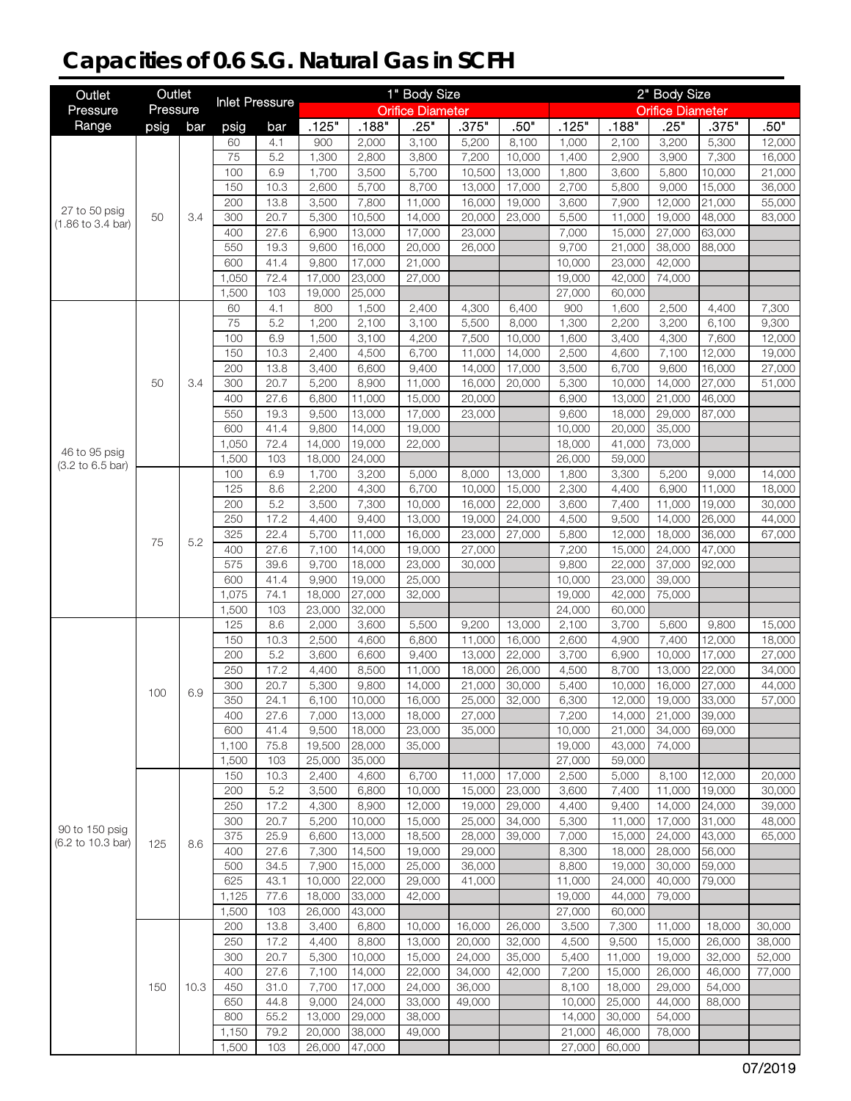# **Capacities of 0.6 S.G. Natural Gas in SCFH**

| Outlet                              | Outlet   |      | <b>Inlet Pressure</b> |              |                  |                  | 1" Body Size            |                  |                  |                 |                    | 2" Body Size            |                  |                  |
|-------------------------------------|----------|------|-----------------------|--------------|------------------|------------------|-------------------------|------------------|------------------|-----------------|--------------------|-------------------------|------------------|------------------|
| Pressure                            | Pressure |      |                       |              |                  |                  | <b>Orifice Diameter</b> |                  |                  |                 |                    | <b>Orifice Diameter</b> |                  |                  |
| Range                               | psig     | bar  | psig                  | bar          | .125"            | .188"            | .25"                    | .375"            | .50"             | .125"           | .188"              | .25"                    | .375"            | .50"             |
|                                     |          |      | 60                    | 4.1          | 900              | 2,000            | 3,100                   | 5,200            | 8,100            | 1,000           | 2,100              | 3,200                   | 5,300            | 12,000           |
|                                     |          |      | 75                    | 5.2          | 1,300            | 2,800            | 3,800                   | 7,200            | 10,000           | 1,400           | 2,900              | 3,900                   | 7,300            | 16,000           |
|                                     |          |      | 100<br>150            | 6.9<br>10.3  | 1,700            | 3,500<br>5,700   | 5,700<br>8,700          | 10,500           | 13,000           | 1,800           | 3,600              | 5,800<br>9,000          | 10,000<br>15,000 | 21,000<br>36,000 |
|                                     |          |      | 200                   | 13.8         | 2,600<br>3,500   | 7,800            | 11,000                  | 13,000<br>16,000 | 17,000<br>19,000 | 2,700<br>3,600  | 5,800<br>7,900     | 12,000                  | 21,000           | 55,000           |
| 27 to 50 psig                       | 50       | 3.4  | 300                   | 20.7         | 5,300            | 10,500           | 14,000                  | 20,000           | 23,000           | 5,500           | 11,000             | 19,000                  | 48,000           | 83,000           |
| (1.86 to 3.4 bar)                   |          |      | 400                   | 27.6         | 6,900            | 13,000           | 17,000                  | 23,000           |                  | 7,000           | 15,000             | 27,000                  | 63,000           |                  |
|                                     |          |      | 550                   | 19.3         | 9,600            | 16,000           | 20,000                  | 26,000           |                  | 9,700           | 21,000             | 38,000                  | 88,000           |                  |
|                                     |          |      | 600                   | 41.4         | 9,800            | 17,000           | 21,000                  |                  |                  | 10,000          | 23,000             | 42,000                  |                  |                  |
|                                     |          |      | 1,050                 | 72.4         | 17,000           | 23,000           | 27,000                  |                  |                  | 19,000          | 42,000             | 74,000                  |                  |                  |
|                                     |          |      | 1,500                 | 103          | 19,000           | 25,000           |                         |                  |                  | 27,000          | 60,000             |                         |                  |                  |
|                                     |          |      | 60                    | 4.1          | 800              | 1,500            | $\overline{2,}400$      | 4,300            | 6,400            | 900             | $\overline{1,600}$ | 2,500                   | 4,400            | 7,300            |
|                                     |          |      | 75                    | 5.2          | 1,200            | 2,100            | 3,100                   | 5,500            | 8,000            | 1,300           | 2,200              | 3,200                   | 6,100            | 9,300            |
|                                     |          |      | 100                   | 6.9          | 1,500            | 3,100            | 4,200                   | 7,500            | 10,000           | 1,600           | 3,400              | 4,300                   | 7,600            | 12,000           |
|                                     |          |      | 150<br>200            | 10.3         | 2,400            | 4,500            | 6,700                   | 11,000           | 14,000           | 2,500           | 4,600              | 7,100<br>9,600          | 12,000           | 19,000           |
|                                     | 50       | 3.4  | 300                   | 13.8<br>20.7 | 3,400<br>5,200   | 6,600<br>8,900   | 9,400<br>11,000         | 14,000<br>16,000 | 17,000<br>20,000 | 3,500<br>5,300  | 6,700<br>10,000    | 14,000                  | 16,000<br>27,000 | 27,000<br>51,000 |
|                                     |          |      | 400                   | 27.6         | 6,800            | 11,000           | 15,000                  | 20,000           |                  | 6,900           | 13,000             | 21,000                  | 46,000           |                  |
|                                     |          |      | 550                   | 19.3         | 9,500            | 13,000           | 17,000                  | 23,000           |                  | 9,600           | 18,000             | 29,000                  | 87,000           |                  |
|                                     |          |      | 600                   | 41.4         | 9,800            | 14,000           | 19,000                  |                  |                  | 10,000          | 20,000             | 35,000                  |                  |                  |
|                                     |          |      | 1,050                 | 72.4         | 14,000           | 19,000           | 22,000                  |                  |                  | 18,000          | 41,000             | 73,000                  |                  |                  |
| 46 to 95 psig<br>(3.2 to 6.5 bar)   |          |      | 1,500                 | 103          | 18,000           | 24,000           |                         |                  |                  | 26,000          | 59,000             |                         |                  |                  |
|                                     |          |      | 100                   | 6.9          | 1,700            | 3,200            | 5,000                   | 8,000            | 13,000           | 1,800           | 3,300              | 5,200                   | 9,000            | 14,000           |
|                                     |          |      | 125                   | 8.6          | 2,200            | 4,300            | 6,700                   | 10,000           | 15,000           | 2,300           | 4,400              | 6,900                   | 11,000           | 18,000           |
|                                     |          |      | 200                   | 5.2          | 3,500            | 7,300            | 10,000                  | 16,000           | 22,000           | 3,600           | $\overline{7,}400$ | 11,000                  | 19,000           | 30,000           |
|                                     |          |      | 250                   | 17.2         | 4,400            | 9,400            | 13,000                  | 19,000           | 24,000           | 4,500           | 9,500              | 14,000                  | 26,000           | 44,000           |
|                                     | 75       | 5.2  | 325                   | 22.4         | 5,700            | 11,000           | 16,000                  | 23,000           | 27,000           | 5,800           | 12,000             | 18,000                  | 36,000           | 67,000           |
|                                     |          |      | 400<br>575            | 27.6<br>39.6 | 7,100            | 14,000<br>18,000 | 19,000                  | 27,000           |                  | 7,200<br>9,800  | 15,000             | 24,000<br>37,000        | 47,000           |                  |
|                                     |          |      | 600                   | 41.4         | 9,700<br>9,900   | 19,000           | 23,000<br>25,000        | 30,000           |                  | 10,000          | 22,000<br>23,000   | 39,000                  | 92,000           |                  |
|                                     |          |      | 1,075                 | 74.1         | 18,000           | 27,000           | 32,000                  |                  |                  | 19,000          | 42,000             | 75,000                  |                  |                  |
|                                     |          |      | 1,500                 | 103          | 23,000           | 32,000           |                         |                  |                  | 24,000          | 60,000             |                         |                  |                  |
|                                     |          |      | 125                   | 8.6          | 2,000            | 3,600            | 5,500                   | 9,200            | 13,000           | 2,100           | 3,700              | 5,600                   | 9,800            | 15,000           |
|                                     |          |      | 150                   | 10.3         | 2,500            | 4,600            | 6,800                   | 11,000           | 16,000           | 2,600           | 4,900              | 7,400                   | 12,000           | 18,000           |
|                                     |          |      | 200                   | 5.2          | 3,600            | 6,600            | 9,400                   | 13,000           | 22,000           | 3,700           | 6,900              | 10.000                  | 17,000           | 27,000           |
|                                     |          |      | 250                   | 17.2         | 4,400            | 8,500            | 11,000                  | 18,000           | 26,000           | 4,500           | 8,700              | 13,000                  | 22,000           | 34,000           |
|                                     | 100      | 6.9  | 300                   | 20.7         | 5,300            | 9,800            | 14,000                  | 21,000           | 30,000           | 5,400           | 10.000             | 16,000                  | 27,000           | 44,000           |
|                                     |          |      | 350                   | 24.1         | 6,100            | 10,000           | 16,000                  | 25,000           | 32,000           | 6,300           | 12,000             | 19,000                  | 33,000           | 57,000           |
|                                     |          |      | 400                   | 27.6         | 7,000            | 13,000           | 18,000                  | 27,000           |                  | 7,200           | 14,000             | 21,000                  | 39,000           |                  |
|                                     |          |      | 600                   | 41.4         | 9,500            | 18,000           | 23,000                  | 35,000           |                  | 10,000          | 21,000             | 34,000                  | 69,000           |                  |
|                                     |          |      | 1,100<br>1,500        | 75.8<br>103  | 19,500<br>25,000 | 28,000<br>35,000 | 35,000                  |                  |                  | 19,000          | 43,000<br>59,000   | 74,000                  |                  |                  |
|                                     |          |      | 150                   | 10.3         | 2,400            | 4,600            | 6,700                   | 11,000           | 17,000           | 27,000<br>2,500 | 5,000              | 8,100                   | 12,000           | 20,000           |
|                                     |          |      | 200                   | 5.2          | 3,500            | 6,800            | 10,000                  | 15,000           | 23,000           | 3,600           | 7,400              | 11,000                  | 19,000           | 30,000           |
|                                     |          |      | 250                   | 17.2         | 4,300            | 8,900            | 12,000                  | 19,000           | 29,000           | 4,400           | 9,400              | 14,000                  | 24,000           | 39,000           |
|                                     |          |      | 300                   | 20.7         | 5,200            | 10,000           | 15,000                  | 25,000           | 34,000           | 5,300           | 11,000             | 17,000                  | 31,000           | 48,000           |
| 90 to 150 psig<br>(6.2 to 10.3 bar) |          |      | 375                   | 25.9         | 6,600            | 13,000           | 18,500                  | 28,000           | 39,000           | 7,000           | 15,000             | 24,000                  | 43,000           | 65,000           |
|                                     | 125      | 8.6  | 400                   | 27.6         | 7,300            | 14,500           | 19,000                  | 29,000           |                  | 8,300           | 18,000             | 28,000                  | 56,000           |                  |
|                                     |          |      | 500                   | 34.5         | 7,900            | 15,000           | 25,000                  | 36,000           |                  | 8,800           | 19,000             | 30,000                  | 59,000           |                  |
|                                     |          |      | 625                   | 43.1         | 10,000           | 22,000           | 29,000                  | 41,000           |                  | 11,000          | 24,000             | 40,000                  | 79,000           |                  |
|                                     |          |      | 1,125                 | 77.6         | 18,000           | 33,000           | 42,000                  |                  |                  | 19,000          | 44,000             | 79,000                  |                  |                  |
|                                     |          |      | 1,500                 | 103          | 26,000           | 43,000           |                         |                  |                  | 27,000          | 60,000             |                         |                  |                  |
|                                     |          |      | 200                   | 13.8         | 3,400            | 6,800            | 10,000                  | 16,000           | 26,000           | 3,500           | 7,300              | 11,000                  | 18,000           | 30,000           |
|                                     |          |      | 250                   | 17.2         | 4,400            | 8,800            | 13,000                  | 20,000           | 32,000           | 4,500           | 9,500              | 15,000                  | 26,000           | 38,000           |
|                                     |          |      | 300<br>400            | 20.7<br>27.6 | 5,300<br>7,100   | 10,000<br>14,000 | 15,000<br>22,000        | 24,000<br>34,000 | 35,000<br>42,000 | 5,400<br>7,200  | 11,000<br>15,000   | 19,000<br>26,000        | 32,000<br>46,000 | 52,000<br>77,000 |
|                                     | 150      | 10.3 | 450                   | 31.0         | 7,700            | 17,000           | 24,000                  | 36,000           |                  | 8,100           | 18,000             | 29,000                  | 54,000           |                  |
|                                     |          |      | 650                   | 44.8         | 9,000            | 24,000           | 33,000                  | 49,000           |                  | 10,000          | 25,000             | 44,000                  | 88,000           |                  |
|                                     |          |      | 800                   | 55.2         | 13,000           | 29,000           | 38,000                  |                  |                  | 14,000          | 30,000             | 54,000                  |                  |                  |
|                                     |          |      | 1,150                 | 79.2         | 20,000           | 38,000           | 49,000                  |                  |                  | 21,000          | 46,000             | 78,000                  |                  |                  |
|                                     |          |      | 1,500                 | 103          | 26,000           | 47,000           |                         |                  |                  | 27,000          | 60,000             |                         |                  |                  |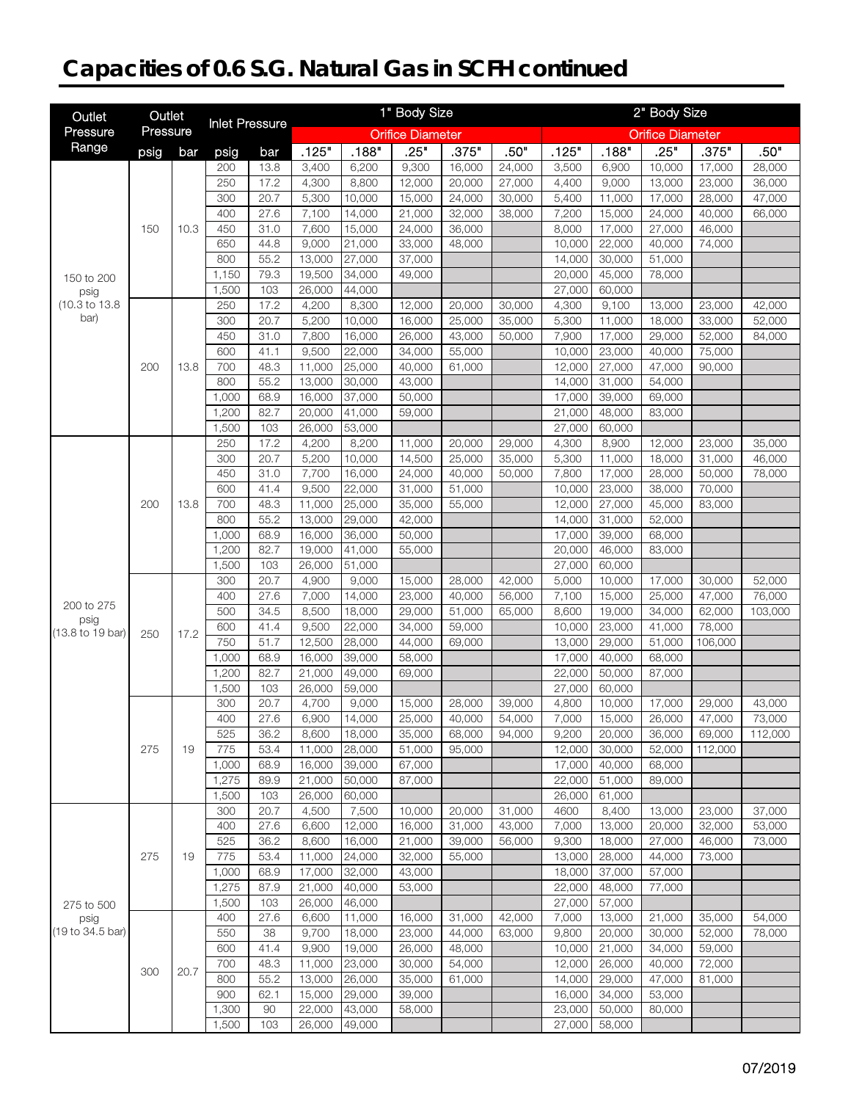# **Capacities of 0.6 S.G. Natural Gas in SCFH continued**

| <b>Inlet Pressure</b><br>Pressure<br>Pressure<br><b>Orifice Diameter</b><br><b>Orifice Diameter</b><br>Range<br>.375"<br>.25"<br>.125"<br>.188"<br>.25"<br>.50"<br>.125"<br>.188"<br>.375"<br>.50"<br>psig<br>bar<br>psig<br>bar<br>13.8<br>6,200<br>9,300<br>16,000<br>3,500<br>6,900<br>10,000<br>28,000<br>200<br>3,400<br>24,000<br>17,000<br>250<br>17.2<br>4,300<br>8,800<br>20,000<br>27,000<br>4,400<br>9,000<br>13,000<br>12,000<br>23,000<br>36,000<br>300<br>20.7<br>10,000<br>24,000<br>30,000<br>5,400<br>11,000<br>47,000<br>5,300<br>15,000<br>17,000<br>28,000<br>7,200<br>400<br>27.6<br>14,000<br>21,000<br>32,000<br>38,000<br>15,000<br>24,000<br>40,000<br>66,000<br>7,100<br>450<br>31.0<br>15,000<br>36,000<br>8,000<br>17,000<br>27,000<br>46,000<br>150<br>10.3<br>7,600<br>24,000<br>44.8<br>650<br>9,000<br>21,000<br>33,000<br>48,000<br>10,000<br>22,000<br>40,000<br>74,000<br>55.2<br>800<br>13,000<br>27,000<br>37,000<br>14,000<br>30,000<br>51,000<br>1,150<br>79.3<br>34,000<br>20,000<br>45,000<br>19,500<br>49,000<br>78,000<br>150 to 200<br>1,500<br>103<br>44,000<br>27,000<br>60,000<br>26,000<br>psig<br>(10.3 to 13.8<br>17.2<br>250<br>4,200<br>8,300<br>12,000<br>30,000<br>4,300<br>9,100<br>13,000<br>42,000<br>20,000<br>23,000<br>bar)<br>300<br>20.7<br>5,200<br>10,000<br>25,000<br>5,300<br>11,000<br>18,000<br>52,000<br>16,000<br>35,000<br>33,000<br>450<br>7,900<br>31.0<br>7,800<br>16,000<br>26,000<br>43,000<br>17,000<br>29,000<br>52,000<br>50,000<br>84,000<br>600<br>41.1<br>9,500<br>22,000<br>55,000<br>10,000<br>23,000<br>75,000<br>34,000<br>40,000<br>48.3<br>700<br>25,000<br>40,000<br>12,000<br>27,000<br>47,000<br>200<br>13.8<br>11,000<br>61,000<br>90,000<br>800<br>55.2<br>30,000<br>31,000<br>54,000<br>13,000<br>43,000<br>14,000<br>37,000<br>1,000<br>68.9<br>50,000<br>17,000<br>39,000<br>69,000<br>16,000<br>1,200<br>82.7<br>20,000<br>41,000<br>59,000<br>21,000<br>48,000<br>83,000<br>1,500<br>103<br>53,000<br>27,000<br>60,000<br>26,000<br>250<br>17.2<br>8,200<br>4,300<br>8,900<br>4,200<br>11,000<br>20,000<br>29,000<br>12,000<br>23,000<br>35,000<br>20.7<br>300<br>10,000<br>25,000<br>5,300<br>11,000<br>5,200<br>14,500<br>35,000<br>18,000<br>31,000<br>46,000<br>450<br>31.0<br>7,700<br>16,000<br>40,000<br>7,800<br>24,000<br>50,000<br>17,000<br>28,000<br>50,000<br>78,000<br>22,000<br>600<br>41.4<br>9,500<br>51,000<br>10,000<br>23,000<br>38,000<br>70,000<br>31,000<br>700<br>25,000<br>48.3<br>$\overline{11,000}$<br>35,000<br>55,000<br>12,000<br>27,000<br>45,000<br>83,000<br>200<br>13.8<br>800<br>55.2<br>13,000<br>29,000<br>42,000<br>14,000<br>31,000<br>52,000<br>1,000<br>68.9<br>36,000<br>17,000<br>39,000<br>16,000<br>50,000<br>68,000<br>82.7<br>1,200<br>41,000<br>20,000<br>46,000<br>19,000<br>55,000<br>83,000<br>1,500<br>103<br>51,000<br>27,000<br>26,000<br>60,000<br>300<br>20.7<br>9,000<br>5,000<br>52,000<br>4,900<br>15,000<br>28,000<br>42,000<br>10,000<br>17,000<br>30,000<br>7,100<br>400<br>27.6<br>7,000<br>14,000<br>40,000<br>25,000<br>76,000<br>23,000<br>56,000<br>15,000<br>47,000<br>200 to 275<br>500<br>34.5<br>8,500<br>18,000<br>29,000<br>51,000<br>65,000<br>8,600<br>19,000<br>34,000<br>62,000<br>103,000<br>psig<br>600<br>22,000<br>41.4<br>9,500<br>34,000<br>59,000<br>10,000<br>23,000<br>41,000<br>78,000<br>(13.8 to 19 bar)<br>17.2<br>250<br>750<br>51.7<br>28,000<br>13,000<br>29,000<br>12,500<br>44,000<br>69,000<br>51,000<br>106,000<br>1,000<br>68.9<br>39,000<br>17,000<br>16,000<br>58,000<br>40,000<br>68,000<br>1,200<br>82.7<br>49,000<br>22,000<br>50,000<br>21,000<br>69,000<br>87,000<br>1,500<br>103<br>59,000<br>27,000<br>60,000<br>26,000<br>300<br>20.7<br>4,700<br>9,000<br>4,800<br>10,000<br>15,000<br>28,000<br>39,000<br>17,000<br>29,000<br>43,000<br>400<br>14,000<br>27.6<br>6,900<br>25,000<br>40,000<br>7,000<br>15,000<br>26,000<br>73,000<br>54,000<br>47,000<br>525<br>36.2<br>8,600<br>18,000<br>35,000<br>68,000<br>94,000<br>9,200<br>20,000<br>36,000<br>112,000<br>69,000<br>275<br>775<br>28,000<br>12,000<br>19<br>53.4<br>11,000<br>51,000<br>95,000<br>30,000<br>52,000<br>112,000<br>1,000<br>68.9<br>16,000<br>39,000<br>67,000<br>17,000<br>40,000<br>68,000<br>1,275<br>50,000<br>22,000<br>51,000<br>89.9<br>21,000<br>87,000<br>89,000<br>1,500<br>60,000<br>103<br>26,000<br>26,000<br>61,000<br>300<br>20.7<br>4,500<br>7,500<br>31,000<br>4600<br>8,400<br>37,000<br>10,000<br>20,000<br>13,000<br>23,000<br>400<br>27.6<br>6,600<br>12,000<br>16,000<br>31,000<br>43,000<br>7,000<br>13,000<br>20,000<br>32,000<br>53,000<br>525<br>36.2<br>8,600<br>16,000<br>9,300<br>27,000<br>21,000<br>39,000<br>56,000<br>18,000<br>46,000<br>73,000<br>275<br>775<br>53.4<br>11,000<br>24,000<br>32,000<br>55,000<br>13,000<br>28,000<br>44,000<br>73,000<br>19<br>32,000<br>57,000<br>1,000<br>68.9<br>17,000<br>43,000<br>18,000<br>37,000<br>1,275<br>87.9<br>21,000<br>40,000<br>53,000<br>22,000<br>48,000<br>77,000<br>1,500<br>26,000<br>46,000<br>27,000<br>57,000<br>103<br>275 to 500<br>400<br>27.6<br>6,600<br>11,000<br>42,000<br>7,000<br>13,000<br>21,000<br>54,000<br>16,000<br>31,000<br>35,000<br>psig<br>550<br>38<br>9,700<br>18,000<br>9,800<br>20,000<br>23,000<br>44,000<br>63,000<br>30,000<br>52,000<br>78,000<br>600<br>41.4<br>19,000<br>9,900<br>26,000<br>48,000<br>10,000<br>21,000<br>34,000<br>59,000<br>72,000<br>700<br>48.3<br>11,000<br>23,000<br>30,000<br>54,000<br>12,000<br>26,000<br>40,000<br>300<br>20.7<br>35,000<br>800<br>55.2<br>13,000<br>26,000<br>61,000<br>14,000<br>29,000<br>47,000<br>81,000<br>900<br>62.1<br>15,000<br>29,000<br>39,000<br>34,000<br>53,000<br>16,000<br>1,300<br>90<br>22,000<br>43,000<br>58,000<br>23,000<br>50,000<br>80,000<br>1,500<br>103<br>49,000<br>26,000<br>27,000<br>58,000 | Outlet           | Outlet |  |  | 1" Body Size |  | 2" Body Size |  |  |  |  |  |
|--------------------------------------------------------------------------------------------------------------------------------------------------------------------------------------------------------------------------------------------------------------------------------------------------------------------------------------------------------------------------------------------------------------------------------------------------------------------------------------------------------------------------------------------------------------------------------------------------------------------------------------------------------------------------------------------------------------------------------------------------------------------------------------------------------------------------------------------------------------------------------------------------------------------------------------------------------------------------------------------------------------------------------------------------------------------------------------------------------------------------------------------------------------------------------------------------------------------------------------------------------------------------------------------------------------------------------------------------------------------------------------------------------------------------------------------------------------------------------------------------------------------------------------------------------------------------------------------------------------------------------------------------------------------------------------------------------------------------------------------------------------------------------------------------------------------------------------------------------------------------------------------------------------------------------------------------------------------------------------------------------------------------------------------------------------------------------------------------------------------------------------------------------------------------------------------------------------------------------------------------------------------------------------------------------------------------------------------------------------------------------------------------------------------------------------------------------------------------------------------------------------------------------------------------------------------------------------------------------------------------------------------------------------------------------------------------------------------------------------------------------------------------------------------------------------------------------------------------------------------------------------------------------------------------------------------------------------------------------------------------------------------------------------------------------------------------------------------------------------------------------------------------------------------------------------------------------------------------------------------------------------------------------------------------------------------------------------------------------------------------------------------------------------------------------------------------------------------------------------------------------------------------------------------------------------------------------------------------------------------------------------------------------------------------------------------------------------------------------------------------------------------------------------------------------------------------------------------------------------------------------------------------------------------------------------------------------------------------------------------------------------------------------------------------------------------------------------------------------------------------------------------------------------------------------------------------------------------------------------------------------------------------------------------------------------------------------------------------------------------------------------------------------------------------------------------------------------------------------------------------------------------------------------------------------------------------------------------------------------------------------------------------------------------------------------------------------------------------------------------------------------------------------------------------------------------------------------------------------------------------------------------------------------------------------------------------------------------------------------------------------------------------------------------------------------------------------------------------------------------------------------------------------------------------------------------------------------------------------------------------------------------------------------------------------------------------------------------------------------------------------------------------------------------------------------------------------------------------------------------------------------------------------------------------------------------------------------------------------------------------------------------------------------------------------------------------------------------------------------------------------------------------------------------------------------------------------------------------------------------------------------|------------------|--------|--|--|--------------|--|--------------|--|--|--|--|--|
|                                                                                                                                                                                                                                                                                                                                                                                                                                                                                                                                                                                                                                                                                                                                                                                                                                                                                                                                                                                                                                                                                                                                                                                                                                                                                                                                                                                                                                                                                                                                                                                                                                                                                                                                                                                                                                                                                                                                                                                                                                                                                                                                                                                                                                                                                                                                                                                                                                                                                                                                                                                                                                                                                                                                                                                                                                                                                                                                                                                                                                                                                                                                                                                                                                                                                                                                                                                                                                                                                                                                                                                                                                                                                                                                                                                                                                                                                                                                                                                                                                                                                                                                                                                                                                                                                                                                                                                                                                                                                                                                                                                                                                                                                                                                                                                                                                                                                                                                                                                                                                                                                                                                                                                                                                                                                                                                                                                                                                                                                                                                                                                                                                                                                                                                                                                                                                                                                      |                  |        |  |  |              |  |              |  |  |  |  |  |
|                                                                                                                                                                                                                                                                                                                                                                                                                                                                                                                                                                                                                                                                                                                                                                                                                                                                                                                                                                                                                                                                                                                                                                                                                                                                                                                                                                                                                                                                                                                                                                                                                                                                                                                                                                                                                                                                                                                                                                                                                                                                                                                                                                                                                                                                                                                                                                                                                                                                                                                                                                                                                                                                                                                                                                                                                                                                                                                                                                                                                                                                                                                                                                                                                                                                                                                                                                                                                                                                                                                                                                                                                                                                                                                                                                                                                                                                                                                                                                                                                                                                                                                                                                                                                                                                                                                                                                                                                                                                                                                                                                                                                                                                                                                                                                                                                                                                                                                                                                                                                                                                                                                                                                                                                                                                                                                                                                                                                                                                                                                                                                                                                                                                                                                                                                                                                                                                                      |                  |        |  |  |              |  |              |  |  |  |  |  |
|                                                                                                                                                                                                                                                                                                                                                                                                                                                                                                                                                                                                                                                                                                                                                                                                                                                                                                                                                                                                                                                                                                                                                                                                                                                                                                                                                                                                                                                                                                                                                                                                                                                                                                                                                                                                                                                                                                                                                                                                                                                                                                                                                                                                                                                                                                                                                                                                                                                                                                                                                                                                                                                                                                                                                                                                                                                                                                                                                                                                                                                                                                                                                                                                                                                                                                                                                                                                                                                                                                                                                                                                                                                                                                                                                                                                                                                                                                                                                                                                                                                                                                                                                                                                                                                                                                                                                                                                                                                                                                                                                                                                                                                                                                                                                                                                                                                                                                                                                                                                                                                                                                                                                                                                                                                                                                                                                                                                                                                                                                                                                                                                                                                                                                                                                                                                                                                                                      |                  |        |  |  |              |  |              |  |  |  |  |  |
|                                                                                                                                                                                                                                                                                                                                                                                                                                                                                                                                                                                                                                                                                                                                                                                                                                                                                                                                                                                                                                                                                                                                                                                                                                                                                                                                                                                                                                                                                                                                                                                                                                                                                                                                                                                                                                                                                                                                                                                                                                                                                                                                                                                                                                                                                                                                                                                                                                                                                                                                                                                                                                                                                                                                                                                                                                                                                                                                                                                                                                                                                                                                                                                                                                                                                                                                                                                                                                                                                                                                                                                                                                                                                                                                                                                                                                                                                                                                                                                                                                                                                                                                                                                                                                                                                                                                                                                                                                                                                                                                                                                                                                                                                                                                                                                                                                                                                                                                                                                                                                                                                                                                                                                                                                                                                                                                                                                                                                                                                                                                                                                                                                                                                                                                                                                                                                                                                      |                  |        |  |  |              |  |              |  |  |  |  |  |
|                                                                                                                                                                                                                                                                                                                                                                                                                                                                                                                                                                                                                                                                                                                                                                                                                                                                                                                                                                                                                                                                                                                                                                                                                                                                                                                                                                                                                                                                                                                                                                                                                                                                                                                                                                                                                                                                                                                                                                                                                                                                                                                                                                                                                                                                                                                                                                                                                                                                                                                                                                                                                                                                                                                                                                                                                                                                                                                                                                                                                                                                                                                                                                                                                                                                                                                                                                                                                                                                                                                                                                                                                                                                                                                                                                                                                                                                                                                                                                                                                                                                                                                                                                                                                                                                                                                                                                                                                                                                                                                                                                                                                                                                                                                                                                                                                                                                                                                                                                                                                                                                                                                                                                                                                                                                                                                                                                                                                                                                                                                                                                                                                                                                                                                                                                                                                                                                                      |                  |        |  |  |              |  |              |  |  |  |  |  |
|                                                                                                                                                                                                                                                                                                                                                                                                                                                                                                                                                                                                                                                                                                                                                                                                                                                                                                                                                                                                                                                                                                                                                                                                                                                                                                                                                                                                                                                                                                                                                                                                                                                                                                                                                                                                                                                                                                                                                                                                                                                                                                                                                                                                                                                                                                                                                                                                                                                                                                                                                                                                                                                                                                                                                                                                                                                                                                                                                                                                                                                                                                                                                                                                                                                                                                                                                                                                                                                                                                                                                                                                                                                                                                                                                                                                                                                                                                                                                                                                                                                                                                                                                                                                                                                                                                                                                                                                                                                                                                                                                                                                                                                                                                                                                                                                                                                                                                                                                                                                                                                                                                                                                                                                                                                                                                                                                                                                                                                                                                                                                                                                                                                                                                                                                                                                                                                                                      |                  |        |  |  |              |  |              |  |  |  |  |  |
|                                                                                                                                                                                                                                                                                                                                                                                                                                                                                                                                                                                                                                                                                                                                                                                                                                                                                                                                                                                                                                                                                                                                                                                                                                                                                                                                                                                                                                                                                                                                                                                                                                                                                                                                                                                                                                                                                                                                                                                                                                                                                                                                                                                                                                                                                                                                                                                                                                                                                                                                                                                                                                                                                                                                                                                                                                                                                                                                                                                                                                                                                                                                                                                                                                                                                                                                                                                                                                                                                                                                                                                                                                                                                                                                                                                                                                                                                                                                                                                                                                                                                                                                                                                                                                                                                                                                                                                                                                                                                                                                                                                                                                                                                                                                                                                                                                                                                                                                                                                                                                                                                                                                                                                                                                                                                                                                                                                                                                                                                                                                                                                                                                                                                                                                                                                                                                                                                      |                  |        |  |  |              |  |              |  |  |  |  |  |
|                                                                                                                                                                                                                                                                                                                                                                                                                                                                                                                                                                                                                                                                                                                                                                                                                                                                                                                                                                                                                                                                                                                                                                                                                                                                                                                                                                                                                                                                                                                                                                                                                                                                                                                                                                                                                                                                                                                                                                                                                                                                                                                                                                                                                                                                                                                                                                                                                                                                                                                                                                                                                                                                                                                                                                                                                                                                                                                                                                                                                                                                                                                                                                                                                                                                                                                                                                                                                                                                                                                                                                                                                                                                                                                                                                                                                                                                                                                                                                                                                                                                                                                                                                                                                                                                                                                                                                                                                                                                                                                                                                                                                                                                                                                                                                                                                                                                                                                                                                                                                                                                                                                                                                                                                                                                                                                                                                                                                                                                                                                                                                                                                                                                                                                                                                                                                                                                                      |                  |        |  |  |              |  |              |  |  |  |  |  |
|                                                                                                                                                                                                                                                                                                                                                                                                                                                                                                                                                                                                                                                                                                                                                                                                                                                                                                                                                                                                                                                                                                                                                                                                                                                                                                                                                                                                                                                                                                                                                                                                                                                                                                                                                                                                                                                                                                                                                                                                                                                                                                                                                                                                                                                                                                                                                                                                                                                                                                                                                                                                                                                                                                                                                                                                                                                                                                                                                                                                                                                                                                                                                                                                                                                                                                                                                                                                                                                                                                                                                                                                                                                                                                                                                                                                                                                                                                                                                                                                                                                                                                                                                                                                                                                                                                                                                                                                                                                                                                                                                                                                                                                                                                                                                                                                                                                                                                                                                                                                                                                                                                                                                                                                                                                                                                                                                                                                                                                                                                                                                                                                                                                                                                                                                                                                                                                                                      |                  |        |  |  |              |  |              |  |  |  |  |  |
|                                                                                                                                                                                                                                                                                                                                                                                                                                                                                                                                                                                                                                                                                                                                                                                                                                                                                                                                                                                                                                                                                                                                                                                                                                                                                                                                                                                                                                                                                                                                                                                                                                                                                                                                                                                                                                                                                                                                                                                                                                                                                                                                                                                                                                                                                                                                                                                                                                                                                                                                                                                                                                                                                                                                                                                                                                                                                                                                                                                                                                                                                                                                                                                                                                                                                                                                                                                                                                                                                                                                                                                                                                                                                                                                                                                                                                                                                                                                                                                                                                                                                                                                                                                                                                                                                                                                                                                                                                                                                                                                                                                                                                                                                                                                                                                                                                                                                                                                                                                                                                                                                                                                                                                                                                                                                                                                                                                                                                                                                                                                                                                                                                                                                                                                                                                                                                                                                      |                  |        |  |  |              |  |              |  |  |  |  |  |
|                                                                                                                                                                                                                                                                                                                                                                                                                                                                                                                                                                                                                                                                                                                                                                                                                                                                                                                                                                                                                                                                                                                                                                                                                                                                                                                                                                                                                                                                                                                                                                                                                                                                                                                                                                                                                                                                                                                                                                                                                                                                                                                                                                                                                                                                                                                                                                                                                                                                                                                                                                                                                                                                                                                                                                                                                                                                                                                                                                                                                                                                                                                                                                                                                                                                                                                                                                                                                                                                                                                                                                                                                                                                                                                                                                                                                                                                                                                                                                                                                                                                                                                                                                                                                                                                                                                                                                                                                                                                                                                                                                                                                                                                                                                                                                                                                                                                                                                                                                                                                                                                                                                                                                                                                                                                                                                                                                                                                                                                                                                                                                                                                                                                                                                                                                                                                                                                                      |                  |        |  |  |              |  |              |  |  |  |  |  |
|                                                                                                                                                                                                                                                                                                                                                                                                                                                                                                                                                                                                                                                                                                                                                                                                                                                                                                                                                                                                                                                                                                                                                                                                                                                                                                                                                                                                                                                                                                                                                                                                                                                                                                                                                                                                                                                                                                                                                                                                                                                                                                                                                                                                                                                                                                                                                                                                                                                                                                                                                                                                                                                                                                                                                                                                                                                                                                                                                                                                                                                                                                                                                                                                                                                                                                                                                                                                                                                                                                                                                                                                                                                                                                                                                                                                                                                                                                                                                                                                                                                                                                                                                                                                                                                                                                                                                                                                                                                                                                                                                                                                                                                                                                                                                                                                                                                                                                                                                                                                                                                                                                                                                                                                                                                                                                                                                                                                                                                                                                                                                                                                                                                                                                                                                                                                                                                                                      |                  |        |  |  |              |  |              |  |  |  |  |  |
|                                                                                                                                                                                                                                                                                                                                                                                                                                                                                                                                                                                                                                                                                                                                                                                                                                                                                                                                                                                                                                                                                                                                                                                                                                                                                                                                                                                                                                                                                                                                                                                                                                                                                                                                                                                                                                                                                                                                                                                                                                                                                                                                                                                                                                                                                                                                                                                                                                                                                                                                                                                                                                                                                                                                                                                                                                                                                                                                                                                                                                                                                                                                                                                                                                                                                                                                                                                                                                                                                                                                                                                                                                                                                                                                                                                                                                                                                                                                                                                                                                                                                                                                                                                                                                                                                                                                                                                                                                                                                                                                                                                                                                                                                                                                                                                                                                                                                                                                                                                                                                                                                                                                                                                                                                                                                                                                                                                                                                                                                                                                                                                                                                                                                                                                                                                                                                                                                      |                  |        |  |  |              |  |              |  |  |  |  |  |
|                                                                                                                                                                                                                                                                                                                                                                                                                                                                                                                                                                                                                                                                                                                                                                                                                                                                                                                                                                                                                                                                                                                                                                                                                                                                                                                                                                                                                                                                                                                                                                                                                                                                                                                                                                                                                                                                                                                                                                                                                                                                                                                                                                                                                                                                                                                                                                                                                                                                                                                                                                                                                                                                                                                                                                                                                                                                                                                                                                                                                                                                                                                                                                                                                                                                                                                                                                                                                                                                                                                                                                                                                                                                                                                                                                                                                                                                                                                                                                                                                                                                                                                                                                                                                                                                                                                                                                                                                                                                                                                                                                                                                                                                                                                                                                                                                                                                                                                                                                                                                                                                                                                                                                                                                                                                                                                                                                                                                                                                                                                                                                                                                                                                                                                                                                                                                                                                                      |                  |        |  |  |              |  |              |  |  |  |  |  |
|                                                                                                                                                                                                                                                                                                                                                                                                                                                                                                                                                                                                                                                                                                                                                                                                                                                                                                                                                                                                                                                                                                                                                                                                                                                                                                                                                                                                                                                                                                                                                                                                                                                                                                                                                                                                                                                                                                                                                                                                                                                                                                                                                                                                                                                                                                                                                                                                                                                                                                                                                                                                                                                                                                                                                                                                                                                                                                                                                                                                                                                                                                                                                                                                                                                                                                                                                                                                                                                                                                                                                                                                                                                                                                                                                                                                                                                                                                                                                                                                                                                                                                                                                                                                                                                                                                                                                                                                                                                                                                                                                                                                                                                                                                                                                                                                                                                                                                                                                                                                                                                                                                                                                                                                                                                                                                                                                                                                                                                                                                                                                                                                                                                                                                                                                                                                                                                                                      |                  |        |  |  |              |  |              |  |  |  |  |  |
|                                                                                                                                                                                                                                                                                                                                                                                                                                                                                                                                                                                                                                                                                                                                                                                                                                                                                                                                                                                                                                                                                                                                                                                                                                                                                                                                                                                                                                                                                                                                                                                                                                                                                                                                                                                                                                                                                                                                                                                                                                                                                                                                                                                                                                                                                                                                                                                                                                                                                                                                                                                                                                                                                                                                                                                                                                                                                                                                                                                                                                                                                                                                                                                                                                                                                                                                                                                                                                                                                                                                                                                                                                                                                                                                                                                                                                                                                                                                                                                                                                                                                                                                                                                                                                                                                                                                                                                                                                                                                                                                                                                                                                                                                                                                                                                                                                                                                                                                                                                                                                                                                                                                                                                                                                                                                                                                                                                                                                                                                                                                                                                                                                                                                                                                                                                                                                                                                      |                  |        |  |  |              |  |              |  |  |  |  |  |
|                                                                                                                                                                                                                                                                                                                                                                                                                                                                                                                                                                                                                                                                                                                                                                                                                                                                                                                                                                                                                                                                                                                                                                                                                                                                                                                                                                                                                                                                                                                                                                                                                                                                                                                                                                                                                                                                                                                                                                                                                                                                                                                                                                                                                                                                                                                                                                                                                                                                                                                                                                                                                                                                                                                                                                                                                                                                                                                                                                                                                                                                                                                                                                                                                                                                                                                                                                                                                                                                                                                                                                                                                                                                                                                                                                                                                                                                                                                                                                                                                                                                                                                                                                                                                                                                                                                                                                                                                                                                                                                                                                                                                                                                                                                                                                                                                                                                                                                                                                                                                                                                                                                                                                                                                                                                                                                                                                                                                                                                                                                                                                                                                                                                                                                                                                                                                                                                                      |                  |        |  |  |              |  |              |  |  |  |  |  |
|                                                                                                                                                                                                                                                                                                                                                                                                                                                                                                                                                                                                                                                                                                                                                                                                                                                                                                                                                                                                                                                                                                                                                                                                                                                                                                                                                                                                                                                                                                                                                                                                                                                                                                                                                                                                                                                                                                                                                                                                                                                                                                                                                                                                                                                                                                                                                                                                                                                                                                                                                                                                                                                                                                                                                                                                                                                                                                                                                                                                                                                                                                                                                                                                                                                                                                                                                                                                                                                                                                                                                                                                                                                                                                                                                                                                                                                                                                                                                                                                                                                                                                                                                                                                                                                                                                                                                                                                                                                                                                                                                                                                                                                                                                                                                                                                                                                                                                                                                                                                                                                                                                                                                                                                                                                                                                                                                                                                                                                                                                                                                                                                                                                                                                                                                                                                                                                                                      |                  |        |  |  |              |  |              |  |  |  |  |  |
|                                                                                                                                                                                                                                                                                                                                                                                                                                                                                                                                                                                                                                                                                                                                                                                                                                                                                                                                                                                                                                                                                                                                                                                                                                                                                                                                                                                                                                                                                                                                                                                                                                                                                                                                                                                                                                                                                                                                                                                                                                                                                                                                                                                                                                                                                                                                                                                                                                                                                                                                                                                                                                                                                                                                                                                                                                                                                                                                                                                                                                                                                                                                                                                                                                                                                                                                                                                                                                                                                                                                                                                                                                                                                                                                                                                                                                                                                                                                                                                                                                                                                                                                                                                                                                                                                                                                                                                                                                                                                                                                                                                                                                                                                                                                                                                                                                                                                                                                                                                                                                                                                                                                                                                                                                                                                                                                                                                                                                                                                                                                                                                                                                                                                                                                                                                                                                                                                      |                  |        |  |  |              |  |              |  |  |  |  |  |
|                                                                                                                                                                                                                                                                                                                                                                                                                                                                                                                                                                                                                                                                                                                                                                                                                                                                                                                                                                                                                                                                                                                                                                                                                                                                                                                                                                                                                                                                                                                                                                                                                                                                                                                                                                                                                                                                                                                                                                                                                                                                                                                                                                                                                                                                                                                                                                                                                                                                                                                                                                                                                                                                                                                                                                                                                                                                                                                                                                                                                                                                                                                                                                                                                                                                                                                                                                                                                                                                                                                                                                                                                                                                                                                                                                                                                                                                                                                                                                                                                                                                                                                                                                                                                                                                                                                                                                                                                                                                                                                                                                                                                                                                                                                                                                                                                                                                                                                                                                                                                                                                                                                                                                                                                                                                                                                                                                                                                                                                                                                                                                                                                                                                                                                                                                                                                                                                                      |                  |        |  |  |              |  |              |  |  |  |  |  |
|                                                                                                                                                                                                                                                                                                                                                                                                                                                                                                                                                                                                                                                                                                                                                                                                                                                                                                                                                                                                                                                                                                                                                                                                                                                                                                                                                                                                                                                                                                                                                                                                                                                                                                                                                                                                                                                                                                                                                                                                                                                                                                                                                                                                                                                                                                                                                                                                                                                                                                                                                                                                                                                                                                                                                                                                                                                                                                                                                                                                                                                                                                                                                                                                                                                                                                                                                                                                                                                                                                                                                                                                                                                                                                                                                                                                                                                                                                                                                                                                                                                                                                                                                                                                                                                                                                                                                                                                                                                                                                                                                                                                                                                                                                                                                                                                                                                                                                                                                                                                                                                                                                                                                                                                                                                                                                                                                                                                                                                                                                                                                                                                                                                                                                                                                                                                                                                                                      |                  |        |  |  |              |  |              |  |  |  |  |  |
|                                                                                                                                                                                                                                                                                                                                                                                                                                                                                                                                                                                                                                                                                                                                                                                                                                                                                                                                                                                                                                                                                                                                                                                                                                                                                                                                                                                                                                                                                                                                                                                                                                                                                                                                                                                                                                                                                                                                                                                                                                                                                                                                                                                                                                                                                                                                                                                                                                                                                                                                                                                                                                                                                                                                                                                                                                                                                                                                                                                                                                                                                                                                                                                                                                                                                                                                                                                                                                                                                                                                                                                                                                                                                                                                                                                                                                                                                                                                                                                                                                                                                                                                                                                                                                                                                                                                                                                                                                                                                                                                                                                                                                                                                                                                                                                                                                                                                                                                                                                                                                                                                                                                                                                                                                                                                                                                                                                                                                                                                                                                                                                                                                                                                                                                                                                                                                                                                      |                  |        |  |  |              |  |              |  |  |  |  |  |
|                                                                                                                                                                                                                                                                                                                                                                                                                                                                                                                                                                                                                                                                                                                                                                                                                                                                                                                                                                                                                                                                                                                                                                                                                                                                                                                                                                                                                                                                                                                                                                                                                                                                                                                                                                                                                                                                                                                                                                                                                                                                                                                                                                                                                                                                                                                                                                                                                                                                                                                                                                                                                                                                                                                                                                                                                                                                                                                                                                                                                                                                                                                                                                                                                                                                                                                                                                                                                                                                                                                                                                                                                                                                                                                                                                                                                                                                                                                                                                                                                                                                                                                                                                                                                                                                                                                                                                                                                                                                                                                                                                                                                                                                                                                                                                                                                                                                                                                                                                                                                                                                                                                                                                                                                                                                                                                                                                                                                                                                                                                                                                                                                                                                                                                                                                                                                                                                                      |                  |        |  |  |              |  |              |  |  |  |  |  |
|                                                                                                                                                                                                                                                                                                                                                                                                                                                                                                                                                                                                                                                                                                                                                                                                                                                                                                                                                                                                                                                                                                                                                                                                                                                                                                                                                                                                                                                                                                                                                                                                                                                                                                                                                                                                                                                                                                                                                                                                                                                                                                                                                                                                                                                                                                                                                                                                                                                                                                                                                                                                                                                                                                                                                                                                                                                                                                                                                                                                                                                                                                                                                                                                                                                                                                                                                                                                                                                                                                                                                                                                                                                                                                                                                                                                                                                                                                                                                                                                                                                                                                                                                                                                                                                                                                                                                                                                                                                                                                                                                                                                                                                                                                                                                                                                                                                                                                                                                                                                                                                                                                                                                                                                                                                                                                                                                                                                                                                                                                                                                                                                                                                                                                                                                                                                                                                                                      |                  |        |  |  |              |  |              |  |  |  |  |  |
|                                                                                                                                                                                                                                                                                                                                                                                                                                                                                                                                                                                                                                                                                                                                                                                                                                                                                                                                                                                                                                                                                                                                                                                                                                                                                                                                                                                                                                                                                                                                                                                                                                                                                                                                                                                                                                                                                                                                                                                                                                                                                                                                                                                                                                                                                                                                                                                                                                                                                                                                                                                                                                                                                                                                                                                                                                                                                                                                                                                                                                                                                                                                                                                                                                                                                                                                                                                                                                                                                                                                                                                                                                                                                                                                                                                                                                                                                                                                                                                                                                                                                                                                                                                                                                                                                                                                                                                                                                                                                                                                                                                                                                                                                                                                                                                                                                                                                                                                                                                                                                                                                                                                                                                                                                                                                                                                                                                                                                                                                                                                                                                                                                                                                                                                                                                                                                                                                      |                  |        |  |  |              |  |              |  |  |  |  |  |
|                                                                                                                                                                                                                                                                                                                                                                                                                                                                                                                                                                                                                                                                                                                                                                                                                                                                                                                                                                                                                                                                                                                                                                                                                                                                                                                                                                                                                                                                                                                                                                                                                                                                                                                                                                                                                                                                                                                                                                                                                                                                                                                                                                                                                                                                                                                                                                                                                                                                                                                                                                                                                                                                                                                                                                                                                                                                                                                                                                                                                                                                                                                                                                                                                                                                                                                                                                                                                                                                                                                                                                                                                                                                                                                                                                                                                                                                                                                                                                                                                                                                                                                                                                                                                                                                                                                                                                                                                                                                                                                                                                                                                                                                                                                                                                                                                                                                                                                                                                                                                                                                                                                                                                                                                                                                                                                                                                                                                                                                                                                                                                                                                                                                                                                                                                                                                                                                                      |                  |        |  |  |              |  |              |  |  |  |  |  |
|                                                                                                                                                                                                                                                                                                                                                                                                                                                                                                                                                                                                                                                                                                                                                                                                                                                                                                                                                                                                                                                                                                                                                                                                                                                                                                                                                                                                                                                                                                                                                                                                                                                                                                                                                                                                                                                                                                                                                                                                                                                                                                                                                                                                                                                                                                                                                                                                                                                                                                                                                                                                                                                                                                                                                                                                                                                                                                                                                                                                                                                                                                                                                                                                                                                                                                                                                                                                                                                                                                                                                                                                                                                                                                                                                                                                                                                                                                                                                                                                                                                                                                                                                                                                                                                                                                                                                                                                                                                                                                                                                                                                                                                                                                                                                                                                                                                                                                                                                                                                                                                                                                                                                                                                                                                                                                                                                                                                                                                                                                                                                                                                                                                                                                                                                                                                                                                                                      |                  |        |  |  |              |  |              |  |  |  |  |  |
|                                                                                                                                                                                                                                                                                                                                                                                                                                                                                                                                                                                                                                                                                                                                                                                                                                                                                                                                                                                                                                                                                                                                                                                                                                                                                                                                                                                                                                                                                                                                                                                                                                                                                                                                                                                                                                                                                                                                                                                                                                                                                                                                                                                                                                                                                                                                                                                                                                                                                                                                                                                                                                                                                                                                                                                                                                                                                                                                                                                                                                                                                                                                                                                                                                                                                                                                                                                                                                                                                                                                                                                                                                                                                                                                                                                                                                                                                                                                                                                                                                                                                                                                                                                                                                                                                                                                                                                                                                                                                                                                                                                                                                                                                                                                                                                                                                                                                                                                                                                                                                                                                                                                                                                                                                                                                                                                                                                                                                                                                                                                                                                                                                                                                                                                                                                                                                                                                      |                  |        |  |  |              |  |              |  |  |  |  |  |
|                                                                                                                                                                                                                                                                                                                                                                                                                                                                                                                                                                                                                                                                                                                                                                                                                                                                                                                                                                                                                                                                                                                                                                                                                                                                                                                                                                                                                                                                                                                                                                                                                                                                                                                                                                                                                                                                                                                                                                                                                                                                                                                                                                                                                                                                                                                                                                                                                                                                                                                                                                                                                                                                                                                                                                                                                                                                                                                                                                                                                                                                                                                                                                                                                                                                                                                                                                                                                                                                                                                                                                                                                                                                                                                                                                                                                                                                                                                                                                                                                                                                                                                                                                                                                                                                                                                                                                                                                                                                                                                                                                                                                                                                                                                                                                                                                                                                                                                                                                                                                                                                                                                                                                                                                                                                                                                                                                                                                                                                                                                                                                                                                                                                                                                                                                                                                                                                                      |                  |        |  |  |              |  |              |  |  |  |  |  |
|                                                                                                                                                                                                                                                                                                                                                                                                                                                                                                                                                                                                                                                                                                                                                                                                                                                                                                                                                                                                                                                                                                                                                                                                                                                                                                                                                                                                                                                                                                                                                                                                                                                                                                                                                                                                                                                                                                                                                                                                                                                                                                                                                                                                                                                                                                                                                                                                                                                                                                                                                                                                                                                                                                                                                                                                                                                                                                                                                                                                                                                                                                                                                                                                                                                                                                                                                                                                                                                                                                                                                                                                                                                                                                                                                                                                                                                                                                                                                                                                                                                                                                                                                                                                                                                                                                                                                                                                                                                                                                                                                                                                                                                                                                                                                                                                                                                                                                                                                                                                                                                                                                                                                                                                                                                                                                                                                                                                                                                                                                                                                                                                                                                                                                                                                                                                                                                                                      |                  |        |  |  |              |  |              |  |  |  |  |  |
|                                                                                                                                                                                                                                                                                                                                                                                                                                                                                                                                                                                                                                                                                                                                                                                                                                                                                                                                                                                                                                                                                                                                                                                                                                                                                                                                                                                                                                                                                                                                                                                                                                                                                                                                                                                                                                                                                                                                                                                                                                                                                                                                                                                                                                                                                                                                                                                                                                                                                                                                                                                                                                                                                                                                                                                                                                                                                                                                                                                                                                                                                                                                                                                                                                                                                                                                                                                                                                                                                                                                                                                                                                                                                                                                                                                                                                                                                                                                                                                                                                                                                                                                                                                                                                                                                                                                                                                                                                                                                                                                                                                                                                                                                                                                                                                                                                                                                                                                                                                                                                                                                                                                                                                                                                                                                                                                                                                                                                                                                                                                                                                                                                                                                                                                                                                                                                                                                      |                  |        |  |  |              |  |              |  |  |  |  |  |
|                                                                                                                                                                                                                                                                                                                                                                                                                                                                                                                                                                                                                                                                                                                                                                                                                                                                                                                                                                                                                                                                                                                                                                                                                                                                                                                                                                                                                                                                                                                                                                                                                                                                                                                                                                                                                                                                                                                                                                                                                                                                                                                                                                                                                                                                                                                                                                                                                                                                                                                                                                                                                                                                                                                                                                                                                                                                                                                                                                                                                                                                                                                                                                                                                                                                                                                                                                                                                                                                                                                                                                                                                                                                                                                                                                                                                                                                                                                                                                                                                                                                                                                                                                                                                                                                                                                                                                                                                                                                                                                                                                                                                                                                                                                                                                                                                                                                                                                                                                                                                                                                                                                                                                                                                                                                                                                                                                                                                                                                                                                                                                                                                                                                                                                                                                                                                                                                                      |                  |        |  |  |              |  |              |  |  |  |  |  |
|                                                                                                                                                                                                                                                                                                                                                                                                                                                                                                                                                                                                                                                                                                                                                                                                                                                                                                                                                                                                                                                                                                                                                                                                                                                                                                                                                                                                                                                                                                                                                                                                                                                                                                                                                                                                                                                                                                                                                                                                                                                                                                                                                                                                                                                                                                                                                                                                                                                                                                                                                                                                                                                                                                                                                                                                                                                                                                                                                                                                                                                                                                                                                                                                                                                                                                                                                                                                                                                                                                                                                                                                                                                                                                                                                                                                                                                                                                                                                                                                                                                                                                                                                                                                                                                                                                                                                                                                                                                                                                                                                                                                                                                                                                                                                                                                                                                                                                                                                                                                                                                                                                                                                                                                                                                                                                                                                                                                                                                                                                                                                                                                                                                                                                                                                                                                                                                                                      |                  |        |  |  |              |  |              |  |  |  |  |  |
|                                                                                                                                                                                                                                                                                                                                                                                                                                                                                                                                                                                                                                                                                                                                                                                                                                                                                                                                                                                                                                                                                                                                                                                                                                                                                                                                                                                                                                                                                                                                                                                                                                                                                                                                                                                                                                                                                                                                                                                                                                                                                                                                                                                                                                                                                                                                                                                                                                                                                                                                                                                                                                                                                                                                                                                                                                                                                                                                                                                                                                                                                                                                                                                                                                                                                                                                                                                                                                                                                                                                                                                                                                                                                                                                                                                                                                                                                                                                                                                                                                                                                                                                                                                                                                                                                                                                                                                                                                                                                                                                                                                                                                                                                                                                                                                                                                                                                                                                                                                                                                                                                                                                                                                                                                                                                                                                                                                                                                                                                                                                                                                                                                                                                                                                                                                                                                                                                      |                  |        |  |  |              |  |              |  |  |  |  |  |
|                                                                                                                                                                                                                                                                                                                                                                                                                                                                                                                                                                                                                                                                                                                                                                                                                                                                                                                                                                                                                                                                                                                                                                                                                                                                                                                                                                                                                                                                                                                                                                                                                                                                                                                                                                                                                                                                                                                                                                                                                                                                                                                                                                                                                                                                                                                                                                                                                                                                                                                                                                                                                                                                                                                                                                                                                                                                                                                                                                                                                                                                                                                                                                                                                                                                                                                                                                                                                                                                                                                                                                                                                                                                                                                                                                                                                                                                                                                                                                                                                                                                                                                                                                                                                                                                                                                                                                                                                                                                                                                                                                                                                                                                                                                                                                                                                                                                                                                                                                                                                                                                                                                                                                                                                                                                                                                                                                                                                                                                                                                                                                                                                                                                                                                                                                                                                                                                                      |                  |        |  |  |              |  |              |  |  |  |  |  |
|                                                                                                                                                                                                                                                                                                                                                                                                                                                                                                                                                                                                                                                                                                                                                                                                                                                                                                                                                                                                                                                                                                                                                                                                                                                                                                                                                                                                                                                                                                                                                                                                                                                                                                                                                                                                                                                                                                                                                                                                                                                                                                                                                                                                                                                                                                                                                                                                                                                                                                                                                                                                                                                                                                                                                                                                                                                                                                                                                                                                                                                                                                                                                                                                                                                                                                                                                                                                                                                                                                                                                                                                                                                                                                                                                                                                                                                                                                                                                                                                                                                                                                                                                                                                                                                                                                                                                                                                                                                                                                                                                                                                                                                                                                                                                                                                                                                                                                                                                                                                                                                                                                                                                                                                                                                                                                                                                                                                                                                                                                                                                                                                                                                                                                                                                                                                                                                                                      |                  |        |  |  |              |  |              |  |  |  |  |  |
|                                                                                                                                                                                                                                                                                                                                                                                                                                                                                                                                                                                                                                                                                                                                                                                                                                                                                                                                                                                                                                                                                                                                                                                                                                                                                                                                                                                                                                                                                                                                                                                                                                                                                                                                                                                                                                                                                                                                                                                                                                                                                                                                                                                                                                                                                                                                                                                                                                                                                                                                                                                                                                                                                                                                                                                                                                                                                                                                                                                                                                                                                                                                                                                                                                                                                                                                                                                                                                                                                                                                                                                                                                                                                                                                                                                                                                                                                                                                                                                                                                                                                                                                                                                                                                                                                                                                                                                                                                                                                                                                                                                                                                                                                                                                                                                                                                                                                                                                                                                                                                                                                                                                                                                                                                                                                                                                                                                                                                                                                                                                                                                                                                                                                                                                                                                                                                                                                      |                  |        |  |  |              |  |              |  |  |  |  |  |
|                                                                                                                                                                                                                                                                                                                                                                                                                                                                                                                                                                                                                                                                                                                                                                                                                                                                                                                                                                                                                                                                                                                                                                                                                                                                                                                                                                                                                                                                                                                                                                                                                                                                                                                                                                                                                                                                                                                                                                                                                                                                                                                                                                                                                                                                                                                                                                                                                                                                                                                                                                                                                                                                                                                                                                                                                                                                                                                                                                                                                                                                                                                                                                                                                                                                                                                                                                                                                                                                                                                                                                                                                                                                                                                                                                                                                                                                                                                                                                                                                                                                                                                                                                                                                                                                                                                                                                                                                                                                                                                                                                                                                                                                                                                                                                                                                                                                                                                                                                                                                                                                                                                                                                                                                                                                                                                                                                                                                                                                                                                                                                                                                                                                                                                                                                                                                                                                                      |                  |        |  |  |              |  |              |  |  |  |  |  |
|                                                                                                                                                                                                                                                                                                                                                                                                                                                                                                                                                                                                                                                                                                                                                                                                                                                                                                                                                                                                                                                                                                                                                                                                                                                                                                                                                                                                                                                                                                                                                                                                                                                                                                                                                                                                                                                                                                                                                                                                                                                                                                                                                                                                                                                                                                                                                                                                                                                                                                                                                                                                                                                                                                                                                                                                                                                                                                                                                                                                                                                                                                                                                                                                                                                                                                                                                                                                                                                                                                                                                                                                                                                                                                                                                                                                                                                                                                                                                                                                                                                                                                                                                                                                                                                                                                                                                                                                                                                                                                                                                                                                                                                                                                                                                                                                                                                                                                                                                                                                                                                                                                                                                                                                                                                                                                                                                                                                                                                                                                                                                                                                                                                                                                                                                                                                                                                                                      |                  |        |  |  |              |  |              |  |  |  |  |  |
|                                                                                                                                                                                                                                                                                                                                                                                                                                                                                                                                                                                                                                                                                                                                                                                                                                                                                                                                                                                                                                                                                                                                                                                                                                                                                                                                                                                                                                                                                                                                                                                                                                                                                                                                                                                                                                                                                                                                                                                                                                                                                                                                                                                                                                                                                                                                                                                                                                                                                                                                                                                                                                                                                                                                                                                                                                                                                                                                                                                                                                                                                                                                                                                                                                                                                                                                                                                                                                                                                                                                                                                                                                                                                                                                                                                                                                                                                                                                                                                                                                                                                                                                                                                                                                                                                                                                                                                                                                                                                                                                                                                                                                                                                                                                                                                                                                                                                                                                                                                                                                                                                                                                                                                                                                                                                                                                                                                                                                                                                                                                                                                                                                                                                                                                                                                                                                                                                      |                  |        |  |  |              |  |              |  |  |  |  |  |
|                                                                                                                                                                                                                                                                                                                                                                                                                                                                                                                                                                                                                                                                                                                                                                                                                                                                                                                                                                                                                                                                                                                                                                                                                                                                                                                                                                                                                                                                                                                                                                                                                                                                                                                                                                                                                                                                                                                                                                                                                                                                                                                                                                                                                                                                                                                                                                                                                                                                                                                                                                                                                                                                                                                                                                                                                                                                                                                                                                                                                                                                                                                                                                                                                                                                                                                                                                                                                                                                                                                                                                                                                                                                                                                                                                                                                                                                                                                                                                                                                                                                                                                                                                                                                                                                                                                                                                                                                                                                                                                                                                                                                                                                                                                                                                                                                                                                                                                                                                                                                                                                                                                                                                                                                                                                                                                                                                                                                                                                                                                                                                                                                                                                                                                                                                                                                                                                                      |                  |        |  |  |              |  |              |  |  |  |  |  |
|                                                                                                                                                                                                                                                                                                                                                                                                                                                                                                                                                                                                                                                                                                                                                                                                                                                                                                                                                                                                                                                                                                                                                                                                                                                                                                                                                                                                                                                                                                                                                                                                                                                                                                                                                                                                                                                                                                                                                                                                                                                                                                                                                                                                                                                                                                                                                                                                                                                                                                                                                                                                                                                                                                                                                                                                                                                                                                                                                                                                                                                                                                                                                                                                                                                                                                                                                                                                                                                                                                                                                                                                                                                                                                                                                                                                                                                                                                                                                                                                                                                                                                                                                                                                                                                                                                                                                                                                                                                                                                                                                                                                                                                                                                                                                                                                                                                                                                                                                                                                                                                                                                                                                                                                                                                                                                                                                                                                                                                                                                                                                                                                                                                                                                                                                                                                                                                                                      |                  |        |  |  |              |  |              |  |  |  |  |  |
|                                                                                                                                                                                                                                                                                                                                                                                                                                                                                                                                                                                                                                                                                                                                                                                                                                                                                                                                                                                                                                                                                                                                                                                                                                                                                                                                                                                                                                                                                                                                                                                                                                                                                                                                                                                                                                                                                                                                                                                                                                                                                                                                                                                                                                                                                                                                                                                                                                                                                                                                                                                                                                                                                                                                                                                                                                                                                                                                                                                                                                                                                                                                                                                                                                                                                                                                                                                                                                                                                                                                                                                                                                                                                                                                                                                                                                                                                                                                                                                                                                                                                                                                                                                                                                                                                                                                                                                                                                                                                                                                                                                                                                                                                                                                                                                                                                                                                                                                                                                                                                                                                                                                                                                                                                                                                                                                                                                                                                                                                                                                                                                                                                                                                                                                                                                                                                                                                      |                  |        |  |  |              |  |              |  |  |  |  |  |
|                                                                                                                                                                                                                                                                                                                                                                                                                                                                                                                                                                                                                                                                                                                                                                                                                                                                                                                                                                                                                                                                                                                                                                                                                                                                                                                                                                                                                                                                                                                                                                                                                                                                                                                                                                                                                                                                                                                                                                                                                                                                                                                                                                                                                                                                                                                                                                                                                                                                                                                                                                                                                                                                                                                                                                                                                                                                                                                                                                                                                                                                                                                                                                                                                                                                                                                                                                                                                                                                                                                                                                                                                                                                                                                                                                                                                                                                                                                                                                                                                                                                                                                                                                                                                                                                                                                                                                                                                                                                                                                                                                                                                                                                                                                                                                                                                                                                                                                                                                                                                                                                                                                                                                                                                                                                                                                                                                                                                                                                                                                                                                                                                                                                                                                                                                                                                                                                                      |                  |        |  |  |              |  |              |  |  |  |  |  |
|                                                                                                                                                                                                                                                                                                                                                                                                                                                                                                                                                                                                                                                                                                                                                                                                                                                                                                                                                                                                                                                                                                                                                                                                                                                                                                                                                                                                                                                                                                                                                                                                                                                                                                                                                                                                                                                                                                                                                                                                                                                                                                                                                                                                                                                                                                                                                                                                                                                                                                                                                                                                                                                                                                                                                                                                                                                                                                                                                                                                                                                                                                                                                                                                                                                                                                                                                                                                                                                                                                                                                                                                                                                                                                                                                                                                                                                                                                                                                                                                                                                                                                                                                                                                                                                                                                                                                                                                                                                                                                                                                                                                                                                                                                                                                                                                                                                                                                                                                                                                                                                                                                                                                                                                                                                                                                                                                                                                                                                                                                                                                                                                                                                                                                                                                                                                                                                                                      |                  |        |  |  |              |  |              |  |  |  |  |  |
|                                                                                                                                                                                                                                                                                                                                                                                                                                                                                                                                                                                                                                                                                                                                                                                                                                                                                                                                                                                                                                                                                                                                                                                                                                                                                                                                                                                                                                                                                                                                                                                                                                                                                                                                                                                                                                                                                                                                                                                                                                                                                                                                                                                                                                                                                                                                                                                                                                                                                                                                                                                                                                                                                                                                                                                                                                                                                                                                                                                                                                                                                                                                                                                                                                                                                                                                                                                                                                                                                                                                                                                                                                                                                                                                                                                                                                                                                                                                                                                                                                                                                                                                                                                                                                                                                                                                                                                                                                                                                                                                                                                                                                                                                                                                                                                                                                                                                                                                                                                                                                                                                                                                                                                                                                                                                                                                                                                                                                                                                                                                                                                                                                                                                                                                                                                                                                                                                      |                  |        |  |  |              |  |              |  |  |  |  |  |
|                                                                                                                                                                                                                                                                                                                                                                                                                                                                                                                                                                                                                                                                                                                                                                                                                                                                                                                                                                                                                                                                                                                                                                                                                                                                                                                                                                                                                                                                                                                                                                                                                                                                                                                                                                                                                                                                                                                                                                                                                                                                                                                                                                                                                                                                                                                                                                                                                                                                                                                                                                                                                                                                                                                                                                                                                                                                                                                                                                                                                                                                                                                                                                                                                                                                                                                                                                                                                                                                                                                                                                                                                                                                                                                                                                                                                                                                                                                                                                                                                                                                                                                                                                                                                                                                                                                                                                                                                                                                                                                                                                                                                                                                                                                                                                                                                                                                                                                                                                                                                                                                                                                                                                                                                                                                                                                                                                                                                                                                                                                                                                                                                                                                                                                                                                                                                                                                                      |                  |        |  |  |              |  |              |  |  |  |  |  |
|                                                                                                                                                                                                                                                                                                                                                                                                                                                                                                                                                                                                                                                                                                                                                                                                                                                                                                                                                                                                                                                                                                                                                                                                                                                                                                                                                                                                                                                                                                                                                                                                                                                                                                                                                                                                                                                                                                                                                                                                                                                                                                                                                                                                                                                                                                                                                                                                                                                                                                                                                                                                                                                                                                                                                                                                                                                                                                                                                                                                                                                                                                                                                                                                                                                                                                                                                                                                                                                                                                                                                                                                                                                                                                                                                                                                                                                                                                                                                                                                                                                                                                                                                                                                                                                                                                                                                                                                                                                                                                                                                                                                                                                                                                                                                                                                                                                                                                                                                                                                                                                                                                                                                                                                                                                                                                                                                                                                                                                                                                                                                                                                                                                                                                                                                                                                                                                                                      |                  |        |  |  |              |  |              |  |  |  |  |  |
|                                                                                                                                                                                                                                                                                                                                                                                                                                                                                                                                                                                                                                                                                                                                                                                                                                                                                                                                                                                                                                                                                                                                                                                                                                                                                                                                                                                                                                                                                                                                                                                                                                                                                                                                                                                                                                                                                                                                                                                                                                                                                                                                                                                                                                                                                                                                                                                                                                                                                                                                                                                                                                                                                                                                                                                                                                                                                                                                                                                                                                                                                                                                                                                                                                                                                                                                                                                                                                                                                                                                                                                                                                                                                                                                                                                                                                                                                                                                                                                                                                                                                                                                                                                                                                                                                                                                                                                                                                                                                                                                                                                                                                                                                                                                                                                                                                                                                                                                                                                                                                                                                                                                                                                                                                                                                                                                                                                                                                                                                                                                                                                                                                                                                                                                                                                                                                                                                      |                  |        |  |  |              |  |              |  |  |  |  |  |
|                                                                                                                                                                                                                                                                                                                                                                                                                                                                                                                                                                                                                                                                                                                                                                                                                                                                                                                                                                                                                                                                                                                                                                                                                                                                                                                                                                                                                                                                                                                                                                                                                                                                                                                                                                                                                                                                                                                                                                                                                                                                                                                                                                                                                                                                                                                                                                                                                                                                                                                                                                                                                                                                                                                                                                                                                                                                                                                                                                                                                                                                                                                                                                                                                                                                                                                                                                                                                                                                                                                                                                                                                                                                                                                                                                                                                                                                                                                                                                                                                                                                                                                                                                                                                                                                                                                                                                                                                                                                                                                                                                                                                                                                                                                                                                                                                                                                                                                                                                                                                                                                                                                                                                                                                                                                                                                                                                                                                                                                                                                                                                                                                                                                                                                                                                                                                                                                                      |                  |        |  |  |              |  |              |  |  |  |  |  |
|                                                                                                                                                                                                                                                                                                                                                                                                                                                                                                                                                                                                                                                                                                                                                                                                                                                                                                                                                                                                                                                                                                                                                                                                                                                                                                                                                                                                                                                                                                                                                                                                                                                                                                                                                                                                                                                                                                                                                                                                                                                                                                                                                                                                                                                                                                                                                                                                                                                                                                                                                                                                                                                                                                                                                                                                                                                                                                                                                                                                                                                                                                                                                                                                                                                                                                                                                                                                                                                                                                                                                                                                                                                                                                                                                                                                                                                                                                                                                                                                                                                                                                                                                                                                                                                                                                                                                                                                                                                                                                                                                                                                                                                                                                                                                                                                                                                                                                                                                                                                                                                                                                                                                                                                                                                                                                                                                                                                                                                                                                                                                                                                                                                                                                                                                                                                                                                                                      | (19 to 34.5 bar) |        |  |  |              |  |              |  |  |  |  |  |
|                                                                                                                                                                                                                                                                                                                                                                                                                                                                                                                                                                                                                                                                                                                                                                                                                                                                                                                                                                                                                                                                                                                                                                                                                                                                                                                                                                                                                                                                                                                                                                                                                                                                                                                                                                                                                                                                                                                                                                                                                                                                                                                                                                                                                                                                                                                                                                                                                                                                                                                                                                                                                                                                                                                                                                                                                                                                                                                                                                                                                                                                                                                                                                                                                                                                                                                                                                                                                                                                                                                                                                                                                                                                                                                                                                                                                                                                                                                                                                                                                                                                                                                                                                                                                                                                                                                                                                                                                                                                                                                                                                                                                                                                                                                                                                                                                                                                                                                                                                                                                                                                                                                                                                                                                                                                                                                                                                                                                                                                                                                                                                                                                                                                                                                                                                                                                                                                                      |                  |        |  |  |              |  |              |  |  |  |  |  |
|                                                                                                                                                                                                                                                                                                                                                                                                                                                                                                                                                                                                                                                                                                                                                                                                                                                                                                                                                                                                                                                                                                                                                                                                                                                                                                                                                                                                                                                                                                                                                                                                                                                                                                                                                                                                                                                                                                                                                                                                                                                                                                                                                                                                                                                                                                                                                                                                                                                                                                                                                                                                                                                                                                                                                                                                                                                                                                                                                                                                                                                                                                                                                                                                                                                                                                                                                                                                                                                                                                                                                                                                                                                                                                                                                                                                                                                                                                                                                                                                                                                                                                                                                                                                                                                                                                                                                                                                                                                                                                                                                                                                                                                                                                                                                                                                                                                                                                                                                                                                                                                                                                                                                                                                                                                                                                                                                                                                                                                                                                                                                                                                                                                                                                                                                                                                                                                                                      |                  |        |  |  |              |  |              |  |  |  |  |  |
|                                                                                                                                                                                                                                                                                                                                                                                                                                                                                                                                                                                                                                                                                                                                                                                                                                                                                                                                                                                                                                                                                                                                                                                                                                                                                                                                                                                                                                                                                                                                                                                                                                                                                                                                                                                                                                                                                                                                                                                                                                                                                                                                                                                                                                                                                                                                                                                                                                                                                                                                                                                                                                                                                                                                                                                                                                                                                                                                                                                                                                                                                                                                                                                                                                                                                                                                                                                                                                                                                                                                                                                                                                                                                                                                                                                                                                                                                                                                                                                                                                                                                                                                                                                                                                                                                                                                                                                                                                                                                                                                                                                                                                                                                                                                                                                                                                                                                                                                                                                                                                                                                                                                                                                                                                                                                                                                                                                                                                                                                                                                                                                                                                                                                                                                                                                                                                                                                      |                  |        |  |  |              |  |              |  |  |  |  |  |
|                                                                                                                                                                                                                                                                                                                                                                                                                                                                                                                                                                                                                                                                                                                                                                                                                                                                                                                                                                                                                                                                                                                                                                                                                                                                                                                                                                                                                                                                                                                                                                                                                                                                                                                                                                                                                                                                                                                                                                                                                                                                                                                                                                                                                                                                                                                                                                                                                                                                                                                                                                                                                                                                                                                                                                                                                                                                                                                                                                                                                                                                                                                                                                                                                                                                                                                                                                                                                                                                                                                                                                                                                                                                                                                                                                                                                                                                                                                                                                                                                                                                                                                                                                                                                                                                                                                                                                                                                                                                                                                                                                                                                                                                                                                                                                                                                                                                                                                                                                                                                                                                                                                                                                                                                                                                                                                                                                                                                                                                                                                                                                                                                                                                                                                                                                                                                                                                                      |                  |        |  |  |              |  |              |  |  |  |  |  |
|                                                                                                                                                                                                                                                                                                                                                                                                                                                                                                                                                                                                                                                                                                                                                                                                                                                                                                                                                                                                                                                                                                                                                                                                                                                                                                                                                                                                                                                                                                                                                                                                                                                                                                                                                                                                                                                                                                                                                                                                                                                                                                                                                                                                                                                                                                                                                                                                                                                                                                                                                                                                                                                                                                                                                                                                                                                                                                                                                                                                                                                                                                                                                                                                                                                                                                                                                                                                                                                                                                                                                                                                                                                                                                                                                                                                                                                                                                                                                                                                                                                                                                                                                                                                                                                                                                                                                                                                                                                                                                                                                                                                                                                                                                                                                                                                                                                                                                                                                                                                                                                                                                                                                                                                                                                                                                                                                                                                                                                                                                                                                                                                                                                                                                                                                                                                                                                                                      |                  |        |  |  |              |  |              |  |  |  |  |  |
|                                                                                                                                                                                                                                                                                                                                                                                                                                                                                                                                                                                                                                                                                                                                                                                                                                                                                                                                                                                                                                                                                                                                                                                                                                                                                                                                                                                                                                                                                                                                                                                                                                                                                                                                                                                                                                                                                                                                                                                                                                                                                                                                                                                                                                                                                                                                                                                                                                                                                                                                                                                                                                                                                                                                                                                                                                                                                                                                                                                                                                                                                                                                                                                                                                                                                                                                                                                                                                                                                                                                                                                                                                                                                                                                                                                                                                                                                                                                                                                                                                                                                                                                                                                                                                                                                                                                                                                                                                                                                                                                                                                                                                                                                                                                                                                                                                                                                                                                                                                                                                                                                                                                                                                                                                                                                                                                                                                                                                                                                                                                                                                                                                                                                                                                                                                                                                                                                      |                  |        |  |  |              |  |              |  |  |  |  |  |